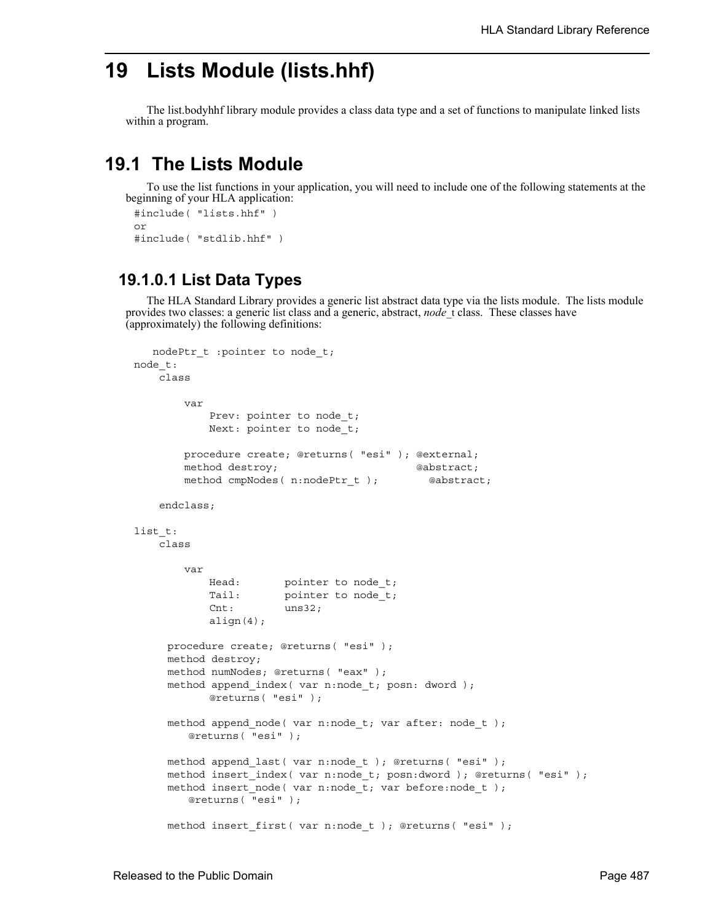# **19 Lists Module (lists.hhf)**

The list.bodyhhf library module provides a class data type and a set of functions to manipulate linked lists within a program.

# **19.1 The Lists Module**

To use the list functions in your application, you will need to include one of the following statements at the beginning of your HLA application:

```
#include( "lists.hhf" )
or
#include( "stdlib.hhf" )
```
### **19.1.0.1 List Data Types**

The HLA Standard Library provides a generic list abstract data type via the lists module. The lists module provides two classes: a generic list class and a generic, abstract, *node*\_t class. These classes have (approximately) the following definitions:

```
 nodePtr_t :pointer to node_t;
node_t: 
    class
        var
           Prev: pointer to node_t;
            Next: pointer to node_t;
        procedure create; @returns( "esi" ); @external;
       method destroy; example abstract;
       method cmpNodes( n:nodePtr t ); @abstract;
    endclass;
list t:
    class
        var
           Head: pointer to node_t;
           Tail: pointer to node t;
            Cnt: uns32;
           align(4);procedure create; @returns( "esi" );
     method destroy;
     method numNodes; @returns( "eax" );
     method append index( var n:node t; posn: dword );
           @returns( "esi" );
     method append_node( var n:node_t; var after: node_t );
         @returns( "esi" );
     method append last( var n:node t ); @returns( "esi" );
     method insert_index( var n:node_t; posn:dword ); @returns( "esi" );
     method insert_node( var n:node_t; var before:node_t ); 
        @returns( "esi" );
     method insert first( var n:node t ); @returns( "esi" );
```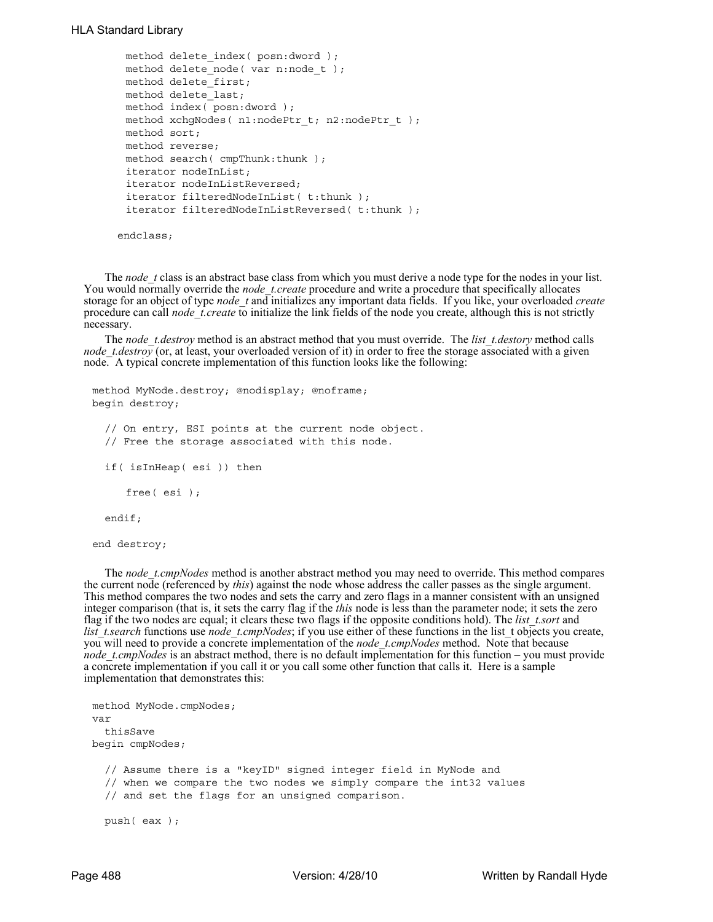#### HLA Standard Library

```
method delete index( posn:dword );
 method delete_node( var n:node_t ); 
 method delete_first; 
 method delete_last; 
 method index( posn:dword );
 method xchqNodes( nl:nodePtr t; n2:nodePtr t);
 method sort;
 method reverse;
 method search( cmpThunk:thunk );
 iterator nodeInList; 
 iterator nodeInListReversed; 
 iterator filteredNodeInList( t:thunk ); 
 iterator filteredNodeInListReversed( t:thunk ); 
 endclass;
```
The *node* t class is an abstract base class from which you must derive a node type for the nodes in your list. You would normally override the *node\_t.create* procedure and write a procedure that specifically allocates storage for an object of type *node\_t* and initializes any important data fields. If you like, your overloaded *create* procedure can call *node\_t.create* to initialize the link fields of the node you create, although this is not strictly necessary.

The *node\_t.destroy* method is an abstract method that you must override. The *list\_t.destory* method calls *node\_t.destroy* (or, at least, your overloaded version of it) in order to free the storage associated with a given node. A typical concrete implementation of this function looks like the following:

```
method MyNode.destroy; @nodisplay; @noframe;
begin destroy;
  // On entry, ESI points at the current node object.
  // Free the storage associated with this node.
  if( isInHeap( esi )) then
     free( esi );
  endif;
end destroy;
```
The *node\_t.cmpNodes* method is another abstract method you may need to override. This method compares the current node (referenced by *this*) against the node whose address the caller passes as the single argument. This method compares the two nodes and sets the carry and zero flags in a manner consistent with an unsigned integer comparison (that is, it sets the carry flag if the *this* node is less than the parameter node; it sets the zero flag if the two nodes are equal; it clears these two flags if the opposite conditions hold). The *list\_t.sort* and *list\_t.search* functions use *node\_t.cmpNodes*; if you use either of these functions in the list\_t objects you create, you will need to provide a concrete implementation of the *node* t.cmpNodes method. Note that because *node\_t.cmpNodes* is an abstract method, there is no default implementation for this function – you must provide a concrete implementation if you call it or you call some other function that calls it. Here is a sample implementation that demonstrates this:

```
method MyNode.cmpNodes;
var
  thisSave
begin cmpNodes;
  // Assume there is a "keyID" signed integer field in MyNode and
  // when we compare the two nodes we simply compare the int32 values
  // and set the flags for an unsigned comparison.
 push( eax );
```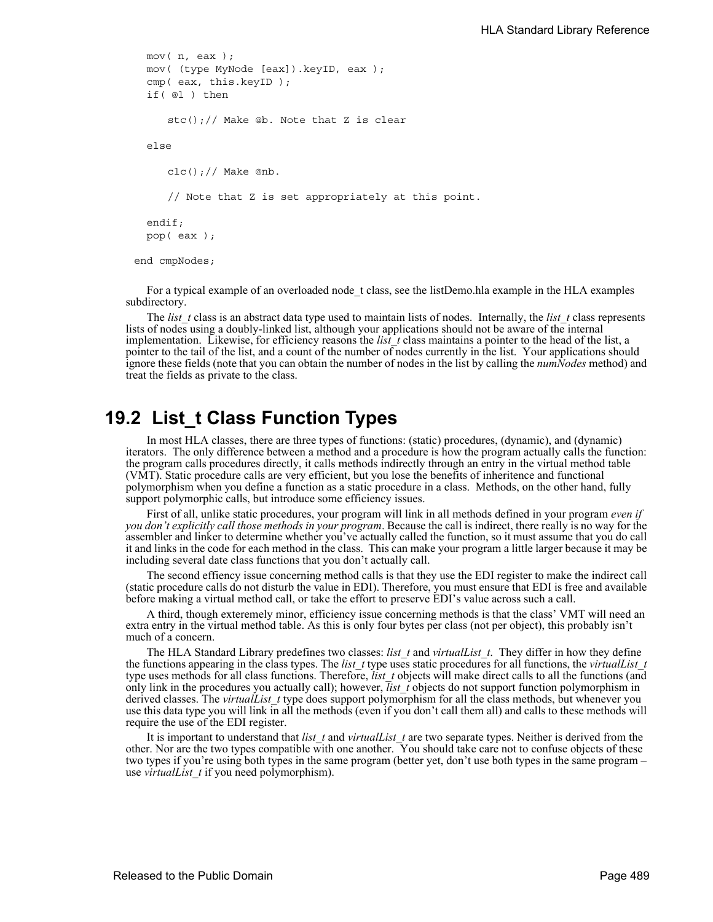```
mov( n, eax );
  mov( (type MyNode [eax]).keyID, eax );
  cmp( eax, this.keyID );
  if( @l ) then
     stc();// Make @b. Note that Z is clear
  else
     clc();// Make @nb. 
     // Note that Z is set appropriately at this point.
  endif;
  pop( eax );
end cmpNodes;
```
For a typical example of an overloaded node t class, see the listDemo.hla example in the HLA examples subdirectory.

The *list* t class is an abstract data type used to maintain lists of nodes. Internally, the *list* t class represents lists of nodes using a doubly-linked list, although your applications should not be aware of the internal implementation. Likewise, for efficiency reasons the *list\_t* class maintains a pointer to the head of the list, a pointer to the tail of the list, and a count of the number of nodes currently in the list. Your applications should ignore these fields (note that you can obtain the number of nodes in the list by calling the *numNodes* method) and treat the fields as private to the class.

# **19.2 List\_t Class Function Types**

In most HLA classes, there are three types of functions: (static) procedures, (dynamic), and (dynamic) iterators. The only difference between a method and a procedure is how the program actually calls the function: the program calls procedures directly, it calls methods indirectly through an entry in the virtual method table (VMT). Static procedure calls are very efficient, but you lose the benefits of inheritence and functional polymorphism when you define a function as a static procedure in a class. Methods, on the other hand, fully support polymorphic calls, but introduce some efficiency issues.

First of all, unlike static procedures, your program will link in all methods defined in your program *even if you don't explicitly call those methods in your program*. Because the call is indirect, there really is no way for the assembler and linker to determine whether you've actually called the function, so it must assume that you do call it and links in the code for each method in the class. This can make your program a little larger because it may be including several date class functions that you don't actually call.

The second effiency issue concerning method calls is that they use the EDI register to make the indirect call (static procedure calls do not disturb the value in EDI). Therefore, you must ensure that EDI is free and available before making a virtual method call, or take the effort to preserve EDI's value across such a call.

A third, though exteremely minor, efficiency issue concerning methods is that the class' VMT will need an extra entry in the virtual method table. As this is only four bytes per class (not per object), this probably isn't much of a concern.

The HLA Standard Library predefines two classes: *list\_t* and *virtualList\_t*. They differ in how they define the functions appearing in the class types. The *list\_t* type uses static procedures for all functions, the *virtualList\_t* type uses methods for all class functions. Therefore, *list\_t* objects will make direct calls to all the functions (and only link in the procedures you actually call); however, *list\_t* objects do not support function polymorphism in derived classes. The *virtualList* type does support polymorphism for all the class methods, but whenever you use this data type you will link in all the methods (even if you don't call them all) and calls to these methods will require the use of the EDI register.

It is important to understand that *list\_t* and *virtualList\_t* are two separate types. Neither is derived from the other. Nor are the two types compatible with one another. You should take care not to confuse objects of these two types if you're using both types in the same program (better yet, don't use both types in the same program – use *virtualList\_t* if you need polymorphism).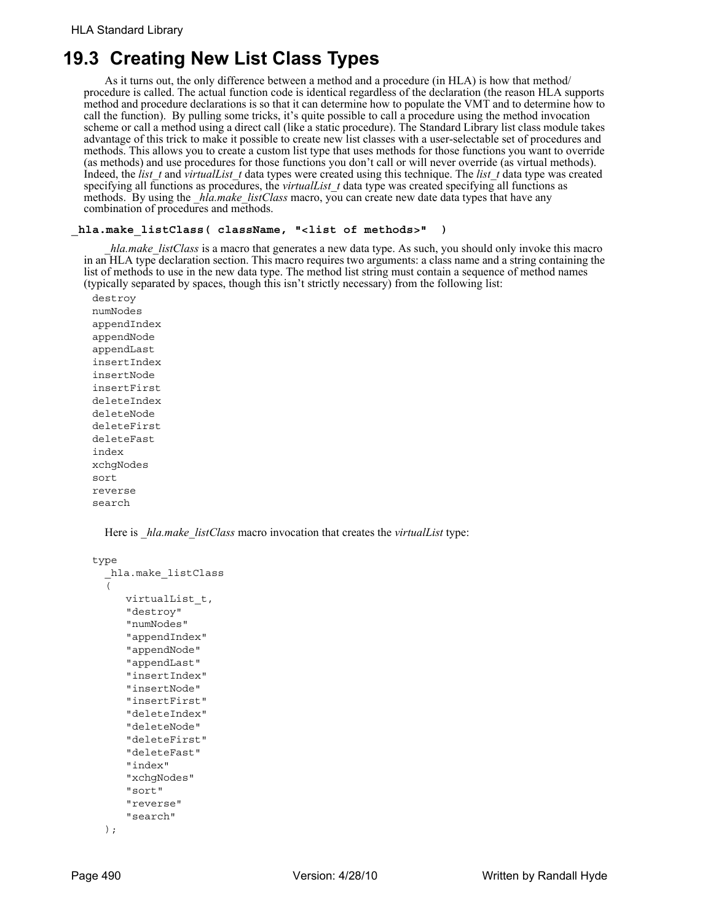# **19.3 Creating New List Class Types**

As it turns out, the only difference between a method and a procedure (in HLA) is how that method/ procedure is called. The actual function code is identical regardless of the declaration (the reason HLA supports method and procedure declarations is so that it can determine how to populate the VMT and to determine how to call the function). By pulling some tricks, it's quite possible to call a procedure using the method invocation scheme or call a method using a direct call (like a static procedure). The Standard Library list class module takes advantage of this trick to make it possible to create new list classes with a user-selectable set of procedures and methods. This allows you to create a custom list type that uses methods for those functions you want to override (as methods) and use procedures for those functions you don't call or will never override (as virtual methods). Indeed, the *list\_t* and *virtualList\_t* data types were created using this technique. The *list\_t* data type was created specifying all functions as procedures, the *virtualList\_t* data type was created specifying all functions as methods. By using the *\_hla.make\_listClass* macro, you can create new date data types that have any combination of procedures and methods.

#### **\_hla.make\_listClass( className, "<list of methods>" )**

*hla.make listClass* is a macro that generates a new data type. As such, you should only invoke this macro in an HLA type declaration section. This macro requires two arguments: a class name and a string containing the list of methods to use in the new data type. The method list string must contain a sequence of method names (typically separated by spaces, though this isn't strictly necessary) from the following list:

destroy numNodes appendIndex appendNode appendLast insertIndex insertNode insertFirst deleteIndex deleteNode deleteFirst deleteFast index xchgNodes sort reverse search

Here is *hla.make listClass* macro invocation that creates the *virtualList* type:

```
type
  _hla.make_listClass
  ( 
     virtualList_t,
     "destroy"
     "numNodes"
     "appendIndex"
     "appendNode"
     "appendLast"
     "insertIndex"
     "insertNode"
     "insertFirst"
     "deleteIndex"
     "deleteNode"
     "deleteFirst"
     "deleteFast"
     "index"
     "xchgNodes"
     "sort"
     "reverse"
      "search"
  );
```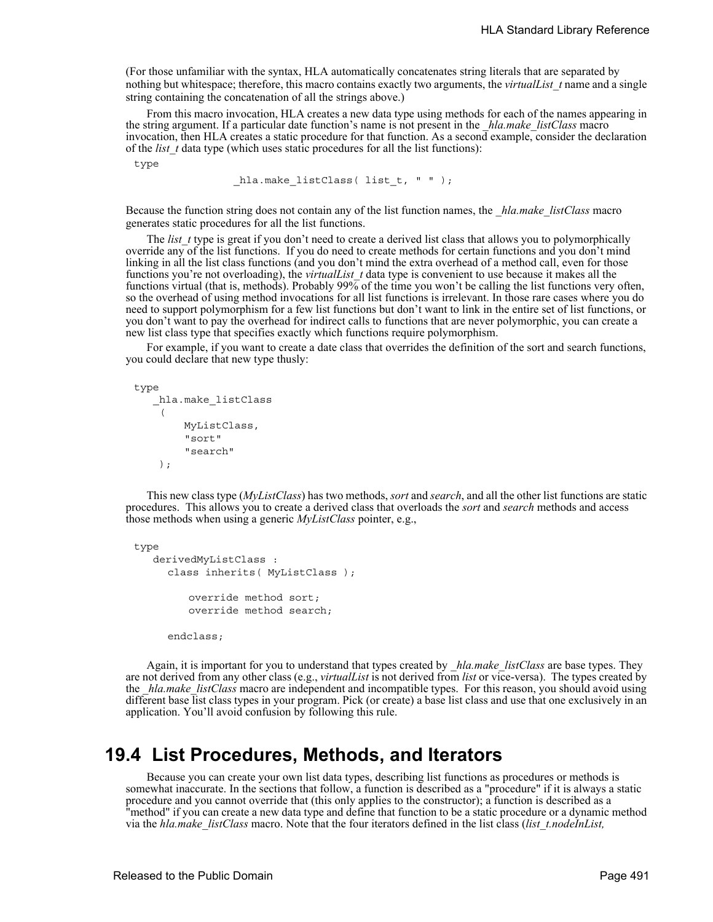(For those unfamiliar with the syntax, HLA automatically concatenates string literals that are separated by nothing but whitespace; therefore, this macro contains exactly two arguments, the *virtualList\_t* name and a single string containing the concatenation of all the strings above.)

From this macro invocation, HLA creates a new data type using methods for each of the names appearing in the string argument. If a particular date function's name is not present in the *hla.make listClass* macro invocation, then HLA creates a static procedure for that function. As a second example, consider the declaration of the *list\_t* data type (which uses static procedures for all the list functions):

type

hla.make listClass( list t, " " );

Because the function string does not contain any of the list function names, the *hla.make listClass* macro generates static procedures for all the list functions.

The *list* t type is great if you don't need to create a derived list class that allows you to polymorphically override any of the list functions. If you do need to create methods for certain functions and you don't mind linking in all the list class functions (and you don't mind the extra overhead of a method call, even for those functions you're not overloading), the *virtualList* t data type is convenient to use because it makes all the functions virtual (that is, methods). Probably 99% of the time you won't be calling the list functions very often, so the overhead of using method invocations for all list functions is irrelevant. In those rare cases where you do need to support polymorphism for a few list functions but don't want to link in the entire set of list functions, or you don't want to pay the overhead for indirect calls to functions that are never polymorphic, you can create a new list class type that specifies exactly which functions require polymorphism.

For example, if you want to create a date class that overrides the definition of the sort and search functions, you could declare that new type thusly:

type

```
 _hla.make_listClass
 \left( MyListClass,
       "sort" 
       "search" 
  );
```
This new class type (*MyListClass*) has two methods, *sort* and *search*, and all the other list functions are static procedures. This allows you to create a derived class that overloads the *sort* and *search* methods and access those methods when using a generic *MyListClass* pointer, e.g.,

```
type
```

```
 derivedMyListClass : 
  class inherits( MyListClass );
      override method sort;
      override method search;
```
endclass;

Again, it is important for you to understand that types created by *\_hla.make\_listClass* are base types. They are not derived from any other class (e.g., *virtualList* is not derived from *list* or vice-versa). The types created by the *hla.make listClass* macro are independent and incompatible types. For this reason, you should avoid using different base list class types in your program. Pick (or create) a base list class and use that one exclusively in an application. You'll avoid confusion by following this rule.

## **19.4 List Procedures, Methods, and Iterators**

Because you can create your own list data types, describing list functions as procedures or methods is somewhat inaccurate. In the sections that follow, a function is described as a "procedure" if it is always a static procedure and you cannot override that (this only applies to the constructor); a function is described as a "method" if you can create a new data type and define that function to be a static procedure or a dynamic method via the *hla.make\_listClass* macro. Note that the four iterators defined in the list class (*list\_t.nodeInList,*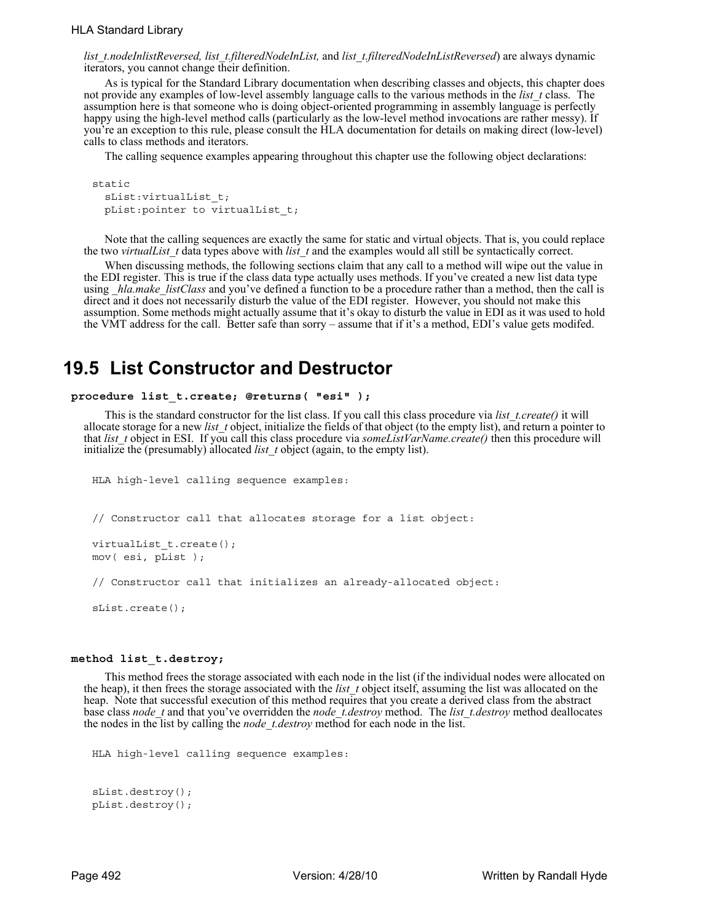*list\_t.nodeInlistReversed, list\_t.filteredNodeInList,* and *list\_t.filteredNodeInListReversed*) are always dynamic iterators, you cannot change their definition.

As is typical for the Standard Library documentation when describing classes and objects, this chapter does not provide any examples of low-level assembly language calls to the various methods in the *list\_t* class. The assumption here is that someone who is doing object-oriented programming in assembly language is perfectly happy using the high-level method calls (particularly as the low-level method invocations are rather messy). If you're an exception to this rule, please consult the HLA documentation for details on making direct (low-level) calls to class methods and iterators.

The calling sequence examples appearing throughout this chapter use the following object declarations:

```
static
  sList:virtualList_t;
  pList:pointer to virtualList_t;
```
Note that the calling sequences are exactly the same for static and virtual objects. That is, you could replace the two *virtualList\_t* data types above with *list\_t* and the examples would all still be syntactically correct.

When discussing methods, the following sections claim that any call to a method will wipe out the value in the EDI register. This is true if the class data type actually uses methods. If you've created a new list data type using *hla.make listClass* and you've defined a function to be a procedure rather than a method, then the call is direct and it does not necessarily disturb the value of the EDI register. However, you should not make this assumption. Some methods might actually assume that it's okay to disturb the value in EDI as it was used to hold the VMT address for the call. Better safe than sorry – assume that if it's a method, EDI's value gets modifed.

## **19.5 List Constructor and Destructor**

#### **procedure list\_t.create; @returns( "esi" );**

This is the standard constructor for the list class. If you call this class procedure via *list\_t.create()* it will allocate storage for a new *list\_t* object, initialize the fields of that object (to the empty list), and return a pointer to that *list* t object in ESI. If you call this class procedure via *someListVarName.create()* then this procedure will initialize the (presumably) allocated *list* t object (again, to the empty list).

```
HLA high-level calling sequence examples:
// Constructor call that allocates storage for a list object:
virtualList_t.create();
mov( esi, pList );
// Constructor call that initializes an already-allocated object:
```
#### **method list\_t.destroy;**

sList.create();

This method frees the storage associated with each node in the list (if the individual nodes were allocated on the heap), it then frees the storage associated with the *list* t object itself, assuming the list was allocated on the heap. Note that successful execution of this method requires that you create a derived class from the abstract base class *node\_t* and that you've overridden the *node\_t.destroy* method. The *list\_t.destroy* method deallocates the nodes in the list by calling the *node\_t.destroy* method for each node in the list.

```
HLA high-level calling sequence examples:
```

```
sList.destroy();
pList.destroy();
```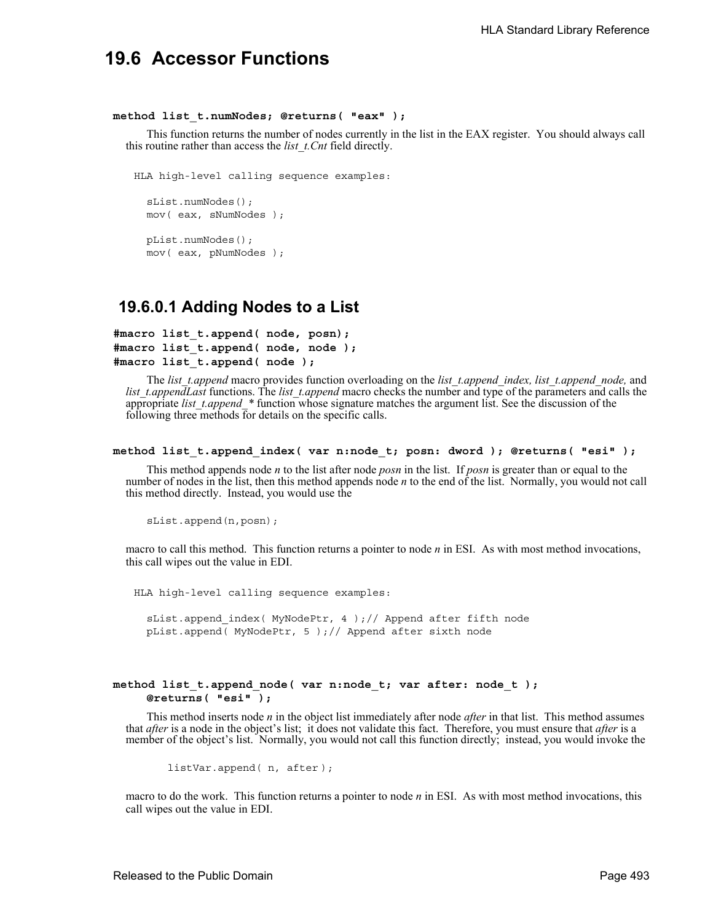## **19.6 Accessor Functions**

#### **method list\_t.numNodes; @returns( "eax" );**

This function returns the number of nodes currently in the list in the EAX register. You should always call this routine rather than access the *list\_t.Cnt* field directly.

HLA high-level calling sequence examples:

```
sList.numNodes();
mov( eax, sNumNodes );
pList.numNodes();
mov( eax, pNumNodes );
```
### **19.6.0.1 Adding Nodes to a List**

```
#macro list_t.append( node, posn);
#macro list_t.append( node, node );
#macro list_t.append( node );
```
The *list\_t.append* macro provides function overloading on the *list\_t.append\_index, list\_t.append\_node,* and *list t.appendLast* functions. The *list t.append* macro checks the number and type of the parameters and calls the appropriate *list\_t.append\_\** function whose signature matches the argument list. See the discussion of the following three methods for details on the specific calls.

```
method list_t.append_index( var n:node_t; posn: dword ); @returns( "esi" );
```
This method appends node *n* to the list after node *posn* in the list. If *posn* is greater than or equal to the number of nodes in the list, then this method appends node *n* to the end of the list. Normally, you would not call this method directly. Instead, you would use the

sList.append(n,posn);

macro to call this method. This function returns a pointer to node *n* in ESI. As with most method invocations, this call wipes out the value in EDI.

HLA high-level calling sequence examples:

sList.append\_index( MyNodePtr, 4 );// Append after fifth node pList.append( MyNodePtr, 5 );// Append after sixth node

#### **method list\_t.append\_node( var n:node\_t; var after: node\_t ); @returns( "esi" );**

This method inserts node *n* in the object list immediately after node *after* in that list. This method assumes that *after* is a node in the object's list; it does not validate this fact. Therefore, you must ensure that *after* is a member of the object's list. Normally, you would not call this function directly; instead, you would invoke the

listVar.append( n, after );

macro to do the work. This function returns a pointer to node *n* in ESI. As with most method invocations, this call wipes out the value in EDI.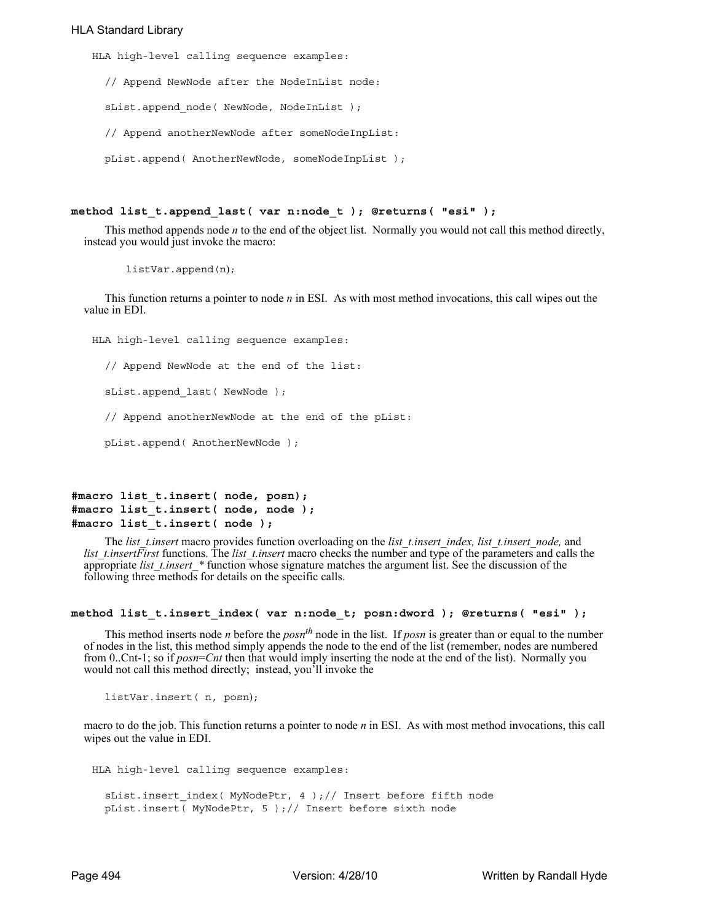#### HLA Standard Library

HLA high-level calling sequence examples:

// Append NewNode after the NodeInList node:

sList.append node( NewNode, NodeInList );

// Append anotherNewNode after someNodeInpList:

pList.append( AnotherNewNode, someNodeInpList );

#### **method list\_t.append\_last( var n:node\_t ); @returns( "esi" );**

This method appends node *n* to the end of the object list. Normally you would not call this method directly, instead you would just invoke the macro:

listVar.append(n);

This function returns a pointer to node *n* in ESI. As with most method invocations, this call wipes out the value in EDI.

HLA high-level calling sequence examples: // Append NewNode at the end of the list: sList.append\_last( NewNode ); // Append anotherNewNode at the end of the pList: pList.append( AnotherNewNode );

```
#macro list_t.insert( node, posn);
#macro list_t.insert( node, node );
#macro list_t.insert( node );
```
The *list\_t.insert* macro provides function overloading on the *list\_t.insert\_index, list\_t.insert\_node,* and *list t.insertFirst* functions. The *list t.insert* macro checks the number and type of the parameters and calls the appropriate *list\_t.insert\_\** function whose signature matches the argument list. See the discussion of the following three methods for details on the specific calls.

#### **method list\_t.insert\_index( var n:node\_t; posn:dword ); @returns( "esi" );**

This method inserts node *n* before the  $posn<sup>th</sup>$  node in the list. If  $posn$  is greater than or equal to the number of nodes in the list, this method simply appends the node to the end of the list (remember, nodes are numbered from 0..Cnt-1; so if *posn*=*Cnt* then that would imply inserting the node at the end of the list). Normally you would not call this method directly; instead, you'll invoke the

listVar.insert( n, posn);

macro to do the job. This function returns a pointer to node *n* in ESI. As with most method invocations, this call wipes out the value in EDI.

```
HLA high-level calling sequence examples:
  sList.insert index( MyNodePtr, 4 );// Insert before fifth node
  pList.insert( MyNodePtr, 5 );// Insert before sixth node
```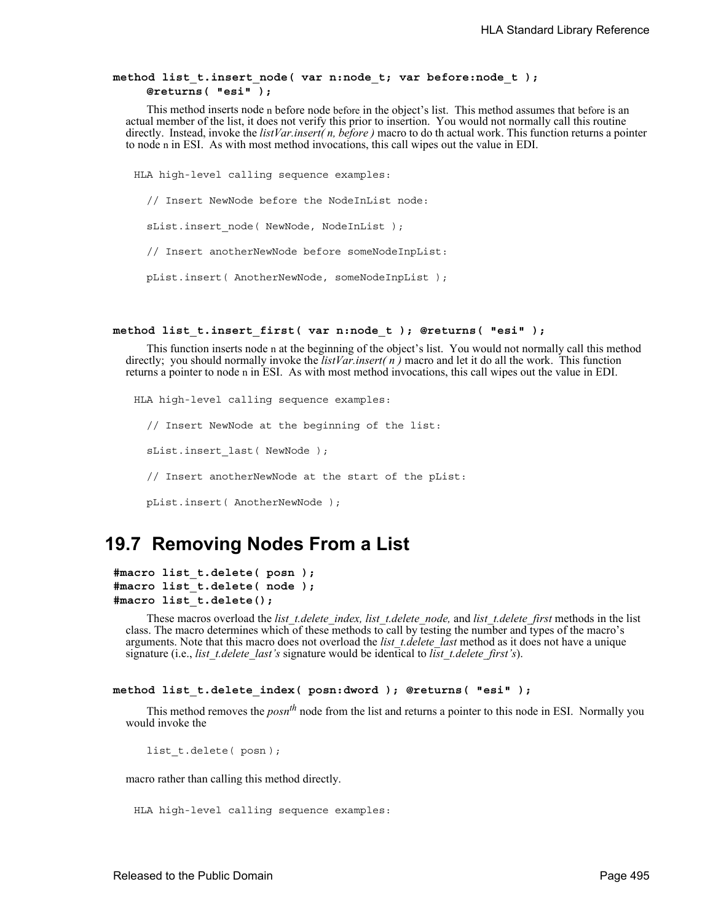#### **method list\_t.insert\_node( var n:node\_t; var before:node\_t ); @returns( "esi" );**

This method inserts node n before node before in the object's list. This method assumes that before is an actual member of the list, it does not verify this prior to insertion. You would not normally call this routine directly. Instead, invoke the *listVar.insert( n, before )* macro to do th actual work. This function returns a pointer to node n in ESI. As with most method invocations, this call wipes out the value in EDI.

HLA high-level calling sequence examples: // Insert NewNode before the NodeInList node: sList.insert node( NewNode, NodeInList ); // Insert anotherNewNode before someNodeInpList: pList.insert( AnotherNewNode, someNodeInpList );

#### **method list\_t.insert\_first( var n:node\_t ); @returns( "esi" );**

This function inserts node n at the beginning of the object's list. You would not normally call this method directly; you should normally invoke the *listVar.insert( n )* macro and let it do all the work. This function returns a pointer to node n in ESI. As with most method invocations, this call wipes out the value in EDI.

HLA high-level calling sequence examples: // Insert NewNode at the beginning of the list: sList.insert\_last( NewNode ); // Insert anotherNewNode at the start of the pList: pList.insert( AnotherNewNode );

## **19.7 Removing Nodes From a List**

```
#macro list_t.delete( posn );
#macro list_t.delete( node );
#macro list_t.delete();
```
These macros overload the *list\_t.delete\_index, list\_t.delete\_node,* and *list\_t.delete\_first* methods in the list class. The macro determines which of these methods to call by testing the number and types of the macro's arguments. Note that this macro does not overload the *list\_t.delete\_last* method as it does not have a unique signature (i.e., *list* t.delete last's signature would be identical to *list* t.delete first's).

```
method list_t.delete_index( posn:dword ); @returns( "esi" );
```
This method removes the *posnth* node from the list and returns a pointer to this node in ESI. Normally you would invoke the

list\_t.delete( posn );

macro rather than calling this method directly.

```
HLA high-level calling sequence examples:
```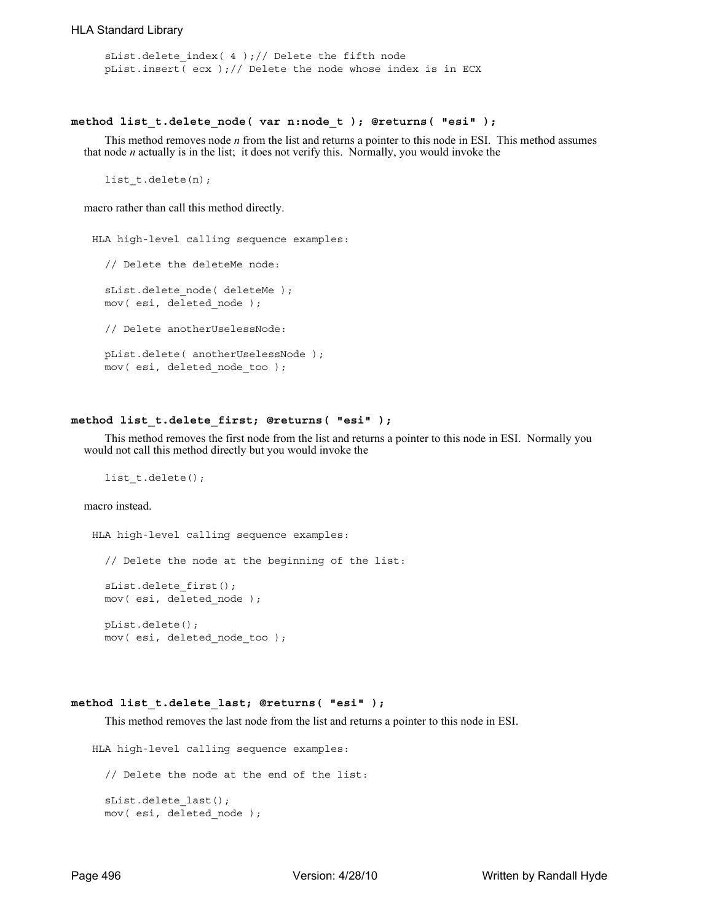```
sList.delete_index( 4 );// Delete the fifth node
pList.insert( ecx );// Delete the node whose index is in ECX
```
#### **method list\_t.delete\_node( var n:node\_t ); @returns( "esi" );**

This method removes node *n* from the list and returns a pointer to this node in ESI. This method assumes that node *n* actually is in the list; it does not verify this. Normally, you would invoke the

list\_t.delete(n);

macro rather than call this method directly.

```
HLA high-level calling sequence examples:
  // Delete the deleteMe node:
  sList.delete node( deleteMe );
 mov( esi, deleted node );
  // Delete anotherUselessNode:
  pList.delete( anotherUselessNode );
  mov( esi, deleted_node_too );
```
#### **method list\_t.delete\_first; @returns( "esi" );**

This method removes the first node from the list and returns a pointer to this node in ESI. Normally you would not call this method directly but you would invoke the

list t.delete();

macro instead.

HLA high-level calling sequence examples: // Delete the node at the beginning of the list: sList.delete\_first(); mov( esi, deleted\_node ); pList.delete(); mov( esi, deleted\_node\_too );

#### **method list\_t.delete\_last; @returns( "esi" );**

This method removes the last node from the list and returns a pointer to this node in ESI.

```
HLA high-level calling sequence examples:
  // Delete the node at the end of the list:
  sList.delete_last();
 mov( esi, deleted node );
```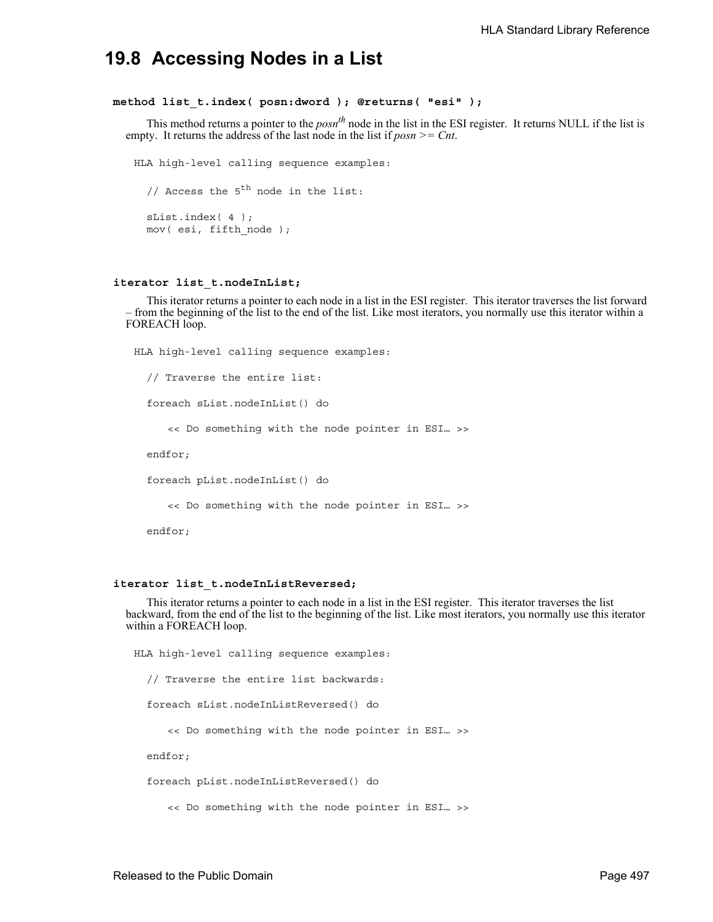## **19.8 Accessing Nodes in a List**

#### **method list\_t.index( posn:dword ); @returns( "esi" );**

This method returns a pointer to the *posnth* node in the list in the ESI register. It returns NULL if the list is empty. It returns the address of the last node in the list if *posn >= Cnt*.

```
HLA high-level calling sequence examples:
  // Access the 5<sup>th</sup> node in the list:
  sList.index( 4 );
  mov( esi, fifth_node );
```
#### **iterator list\_t.nodeInList;**

This iterator returns a pointer to each node in a list in the ESI register. This iterator traverses the list forward – from the beginning of the list to the end of the list. Like most iterators, you normally use this iterator within a FOREACH loop.

```
HLA high-level calling sequence examples:
  // Traverse the entire list:
  foreach sList.nodeInList() do
     << Do something with the node pointer in ESI… >>
  endfor;
  foreach pList.nodeInList() do
     << Do something with the node pointer in ESI… >>
  endfor;
```
#### **iterator list\_t.nodeInListReversed;**

This iterator returns a pointer to each node in a list in the ESI register. This iterator traverses the list backward, from the end of the list to the beginning of the list. Like most iterators, you normally use this iterator within a FOREACH loop.

HLA high-level calling sequence examples: // Traverse the entire list backwards: foreach sList.nodeInListReversed() do << Do something with the node pointer in ESI… >> endfor; foreach pList.nodeInListReversed() do

<< Do something with the node pointer in ESI… >>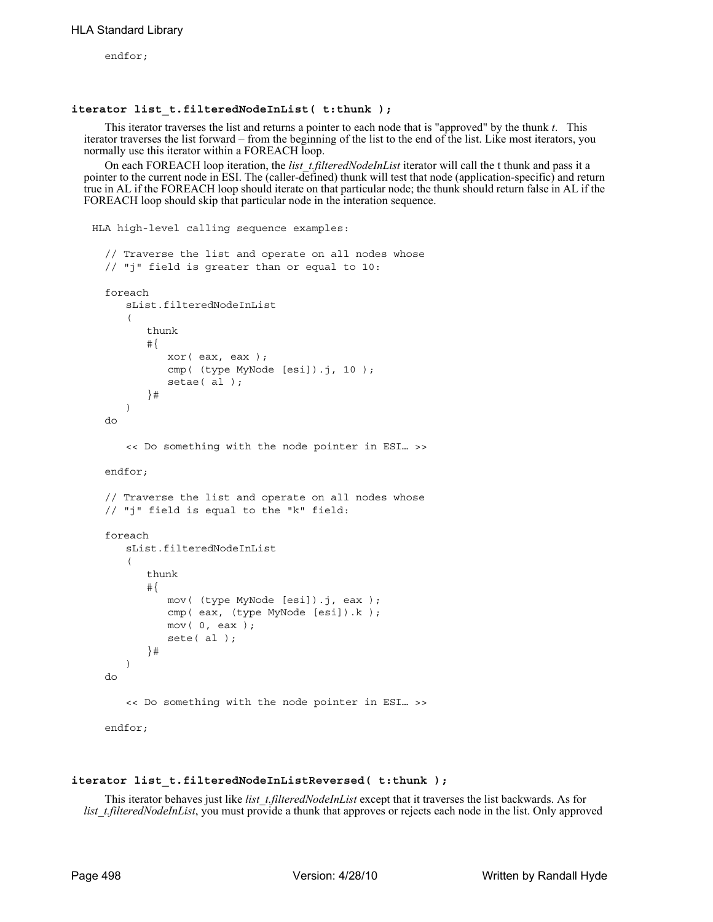endfor;

#### **iterator list\_t.filteredNodeInList( t:thunk );**

This iterator traverses the list and returns a pointer to each node that is "approved" by the thunk *t*. This iterator traverses the list forward – from the beginning of the list to the end of the list. Like most iterators, you normally use this iterator within a FOREACH loop.

On each FOREACH loop iteration, the *list* t.filteredNodeInList iterator will call the t thunk and pass it a pointer to the current node in ESI. The (caller-defined) thunk will test that node (application-specific) and return true in AL if the FOREACH loop should iterate on that particular node; the thunk should return false in AL if the FOREACH loop should skip that particular node in the interation sequence.

```
HLA high-level calling sequence examples:
  // Traverse the list and operate on all nodes whose
  // "j" field is greater than or equal to 10:
  foreach
```

```
sList.filteredNodeInList
   (
       thunk
       #{
          xor( eax, eax );
          cmp( (type MyNode [esi]).j, 10 );
          setae( al );
       }# 
   ) 
do
   << Do something with the node pointer in ESI… >>
endfor;
// Traverse the list and operate on all nodes whose
// "j" field is equal to the "k" field:
foreach 
   sList.filteredNodeInList
   (
       thunk
       #{
          mov( (type MyNode [esi]).j, eax );
          cmp( eax, (type MyNode [esi]).k );
          mov( 0, eax );
          sete( al );
       }# 
   ) 
do
   << Do something with the node pointer in ESI… >>
endfor;
```
#### **iterator list\_t.filteredNodeInListReversed( t:thunk );**

This iterator behaves just like *list\_t.filteredNodeInList* except that it traverses the list backwards. As for *list t.filteredNodeInList*, you must provide a thunk that approves or rejects each node in the list. Only approved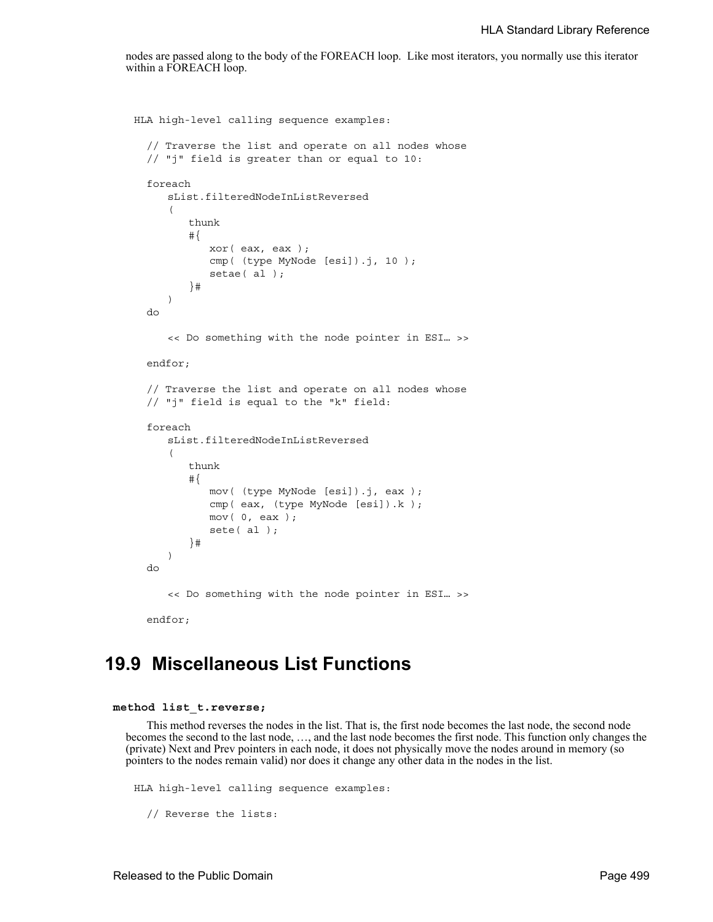nodes are passed along to the body of the FOREACH loop. Like most iterators, you normally use this iterator within a FOREACH loop.

```
HLA high-level calling sequence examples:
  // Traverse the list and operate on all nodes whose
  // "j" field is greater than or equal to 10:
  foreach 
     sList.filteredNodeInListReversed
     (
         thunk
         #{
            xor( eax, eax );
            cmp( (type MyNode [esi]).j, 10 );
            setae( al );
         }# 
     ) 
  do
     << Do something with the node pointer in ESI… >>
  endfor;
  // Traverse the list and operate on all nodes whose
  // "j" field is equal to the "k" field:
  foreach 
     sList.filteredNodeInListReversed
     (
         thunk
         #{
            mov( (type MyNode [esi]).j, eax );
            cmp( eax, (type MyNode [esi]).k );
            mov( 0, eax );
            sete( al );
         }# 
     ) 
  do
     << Do something with the node pointer in ESI… >>
  endfor;
```
# **19.9 Miscellaneous List Functions**

#### **method list\_t.reverse;**

This method reverses the nodes in the list. That is, the first node becomes the last node, the second node becomes the second to the last node, …, and the last node becomes the first node. This function only changes the (private) Next and Prev pointers in each node, it does not physically move the nodes around in memory (so pointers to the nodes remain valid) nor does it change any other data in the nodes in the list.

```
HLA high-level calling sequence examples:
  // Reverse the lists:
```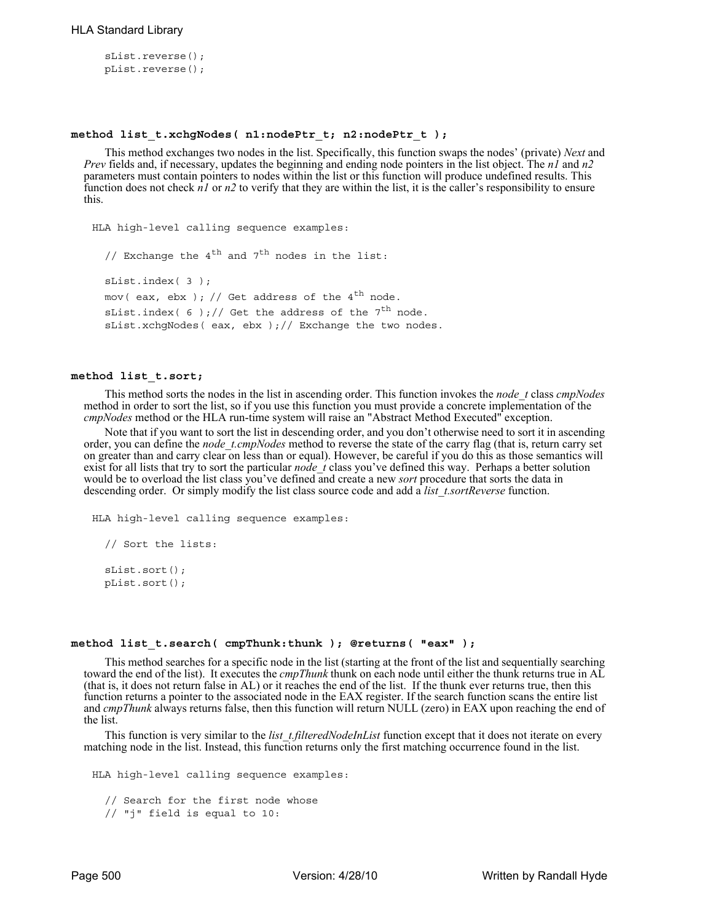```
sList.reverse();
pList.reverse();
```
### **method list\_t.xchgNodes( n1:nodePtr\_t; n2:nodePtr\_t );**

This method exchanges two nodes in the list. Specifically, this function swaps the nodes' (private) *Next* and *Prev* fields and, if necessary, updates the beginning and ending node pointers in the list object. The *n1* and *n2* parameters must contain pointers to nodes within the list or this function will produce undefined results. This function does not check *n1* or *n2* to verify that they are within the list, it is the caller's responsibility to ensure this.

```
HLA high-level calling sequence examples:
  // Exchange the 4^{th} and 7^{th} nodes in the list:
  sList.index( 3 );
  mov( eax, ebx ); // Get address of the 4<sup>th</sup> node.
  sList.index( 6 );// Get the address of the 7<sup>th</sup> node.
  sList.xchgNodes( eax, ebx );// Exchange the two nodes.
```
### **method list\_t.sort;**

This method sorts the nodes in the list in ascending order. This function invokes the *node\_t* class *cmpNodes* method in order to sort the list, so if you use this function you must provide a concrete implementation of the *cmpNodes* method or the HLA run-time system will raise an "Abstract Method Executed" exception.

Note that if you want to sort the list in descending order, and you don't otherwise need to sort it in ascending order, you can define the *node\_t.cmpNodes* method to reverse the state of the carry flag (that is, return carry set on greater than and carry clear on less than or equal). However, be careful if you do this as those semantics will exist for all lists that try to sort the particular *node* t class you've defined this way. Perhaps a better solution would be to overload the list class you've defined and create a new *sort* procedure that sorts the data in descending order. Or simply modify the list class source code and add a *list\_t.sortReverse* function.

```
HLA high-level calling sequence examples:
```

```
// Sort the lists:
sList.sort();
pList.sort();
```
### **method list\_t.search( cmpThunk:thunk ); @returns( "eax" );**

This method searches for a specific node in the list (starting at the front of the list and sequentially searching toward the end of the list). It executes the *cmpThunk* thunk on each node until either the thunk returns true in AL (that is, it does not return false in AL) or it reaches the end of the list. If the thunk ever returns true, then this function returns a pointer to the associated node in the EAX register. If the search function scans the entire list and *cmpThunk* always returns false, then this function will return NULL (zero) in EAX upon reaching the end of the list.

This function is very similar to the *list\_t.filteredNodeInList* function except that it does not iterate on every matching node in the list. Instead, this function returns only the first matching occurrence found in the list.

```
HLA high-level calling sequence examples:
```

```
// Search for the first node whose
// "j" field is equal to 10:
```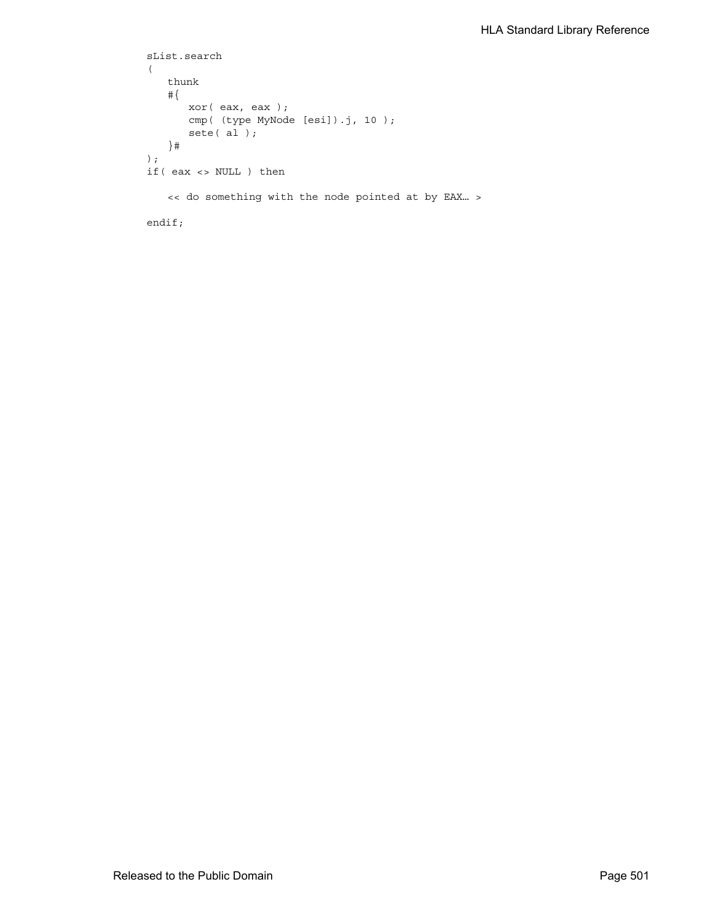```
sList.search
(
   thunk
   #{
      xor( eax, eax );
      cmp( (type MyNode [esi]).j, 10 );
      sete( al );
   }# 
);
if( eax <> NULL ) then
   << do something with the node pointed at by EAX… >
endif;
```